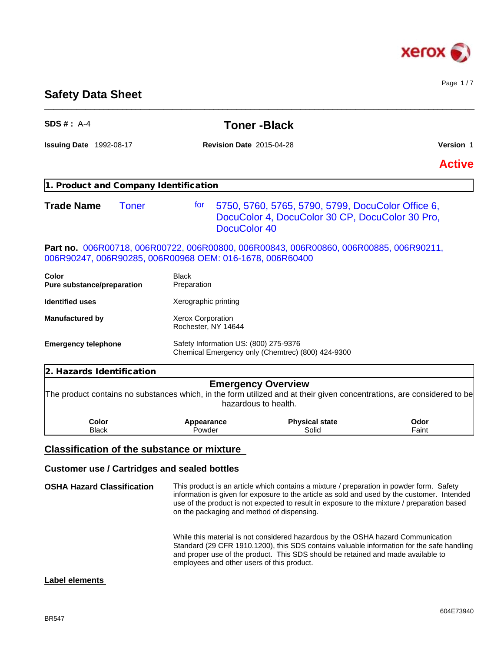

Page 1 / 7

**Safety Data Sheet**

| $SDS#: A-4$                                              |                                                 | <b>Toner-Black</b>                                                                                                                                                                                                                                                                     |               |
|----------------------------------------------------------|-------------------------------------------------|----------------------------------------------------------------------------------------------------------------------------------------------------------------------------------------------------------------------------------------------------------------------------------------|---------------|
| <b>Issuing Date</b> 1992-08-17                           | <b>Revision Date 2015-04-28</b>                 |                                                                                                                                                                                                                                                                                        | Version 1     |
|                                                          |                                                 |                                                                                                                                                                                                                                                                                        | <b>Active</b> |
| 1. Product and Company Identification                    |                                                 |                                                                                                                                                                                                                                                                                        |               |
| <b>Trade Name</b><br><b>Toner</b>                        | tor<br>DocuColor 40                             | 5750, 5760, 5765, 5790, 5799, DocuColor Office 6,<br>DocuColor 4, DocuColor 30 CP, DocuColor 30 Pro,                                                                                                                                                                                   |               |
| 006R90247, 006R90285, 006R00968 OEM: 016-1678, 006R60400 |                                                 | Part no. 006R00718, 006R00722, 006R00800, 006R00843, 006R00860, 006R00885, 006R90211,                                                                                                                                                                                                  |               |
| Color<br>Pure substance/preparation                      | Black<br>Preparation                            |                                                                                                                                                                                                                                                                                        |               |
| <b>Identified uses</b>                                   | Xerographic printing                            |                                                                                                                                                                                                                                                                                        |               |
| <b>Manufactured by</b>                                   | <b>Xerox Corporation</b><br>Rochester, NY 14644 |                                                                                                                                                                                                                                                                                        |               |
| <b>Emergency telephone</b>                               | Safety Information US: (800) 275-9376           | Chemical Emergency only (Chemtrec) (800) 424-9300                                                                                                                                                                                                                                      |               |
| 2. Hazards Identification                                |                                                 |                                                                                                                                                                                                                                                                                        |               |
|                                                          |                                                 | <b>Emergency Overview</b><br>The product contains no substances which, in the form utilized and at their given concentrations, are considered to be<br>hazardous to health.                                                                                                            |               |
| Color<br><b>Black</b>                                    | Appearance<br>Powder                            | <b>Physical state</b><br>Solid                                                                                                                                                                                                                                                         | Odor<br>Faint |
| <b>Classification of the substance or mixture</b>        |                                                 |                                                                                                                                                                                                                                                                                        |               |
| <b>Customer use / Cartridges and sealed bottles</b>      |                                                 |                                                                                                                                                                                                                                                                                        |               |
| <b>OSHA Hazard Classification</b>                        | on the packaging and method of dispensing.      | This product is an article which contains a mixture / preparation in powder form. Safety<br>information is given for exposure to the article as sold and used by the customer. Intended<br>use of the product is not expected to result in exposure to the mixture / preparation based |               |

While this material is not considered hazardous by the OSHA hazard Communication Standard (29 CFR 1910.1200), this SDS contains valuable information for the safe handling and proper use of the product. This SDS should be retained and made available to employees and other users of this product.

# **Label elements**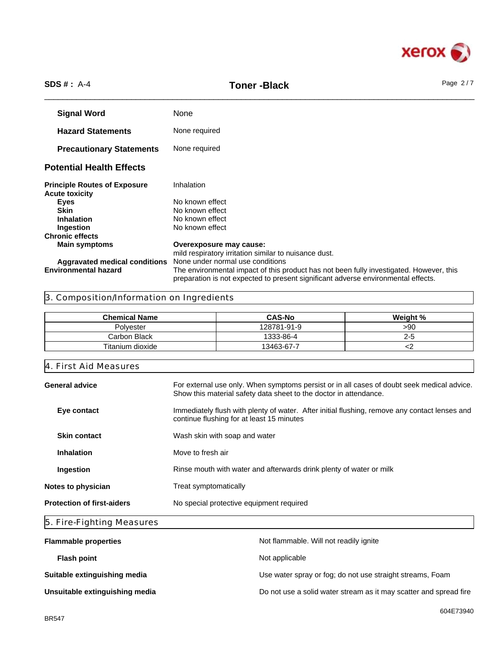

# \_\_\_\_\_\_\_\_\_\_\_\_\_\_\_\_\_\_\_\_\_\_\_\_\_\_\_\_\_\_\_\_\_\_\_\_\_\_\_\_\_\_\_\_\_\_\_\_\_\_\_\_\_\_\_\_\_\_\_\_\_\_\_\_\_\_\_\_\_\_\_\_\_\_\_\_\_\_\_\_\_\_\_\_\_\_\_\_\_\_\_\_\_\_ **SDS # :** A-4 **Toner -Black** Page 2 / 7

**Signal Word** None **Hazard Statements** None required **Precautionary Statements** None required **Potential Health Effects Principle Routes of Exposure** Inhalation **Acute toxicity Eyes** No known effect **Skin** No known effect **Inhalation** No known effect<br> **Ingestion** No known effect **No known effect Chronic effects Main symptoms Overexposure may cause:** mild respiratory irritation similar to nuisance dust. **Aggravated medical conditions** None under normal use conditions The environmental impact of this product has not been fully investigated. However, this preparation is not expected to present significant adverse environmental effects.

# 3. Composition/Information on Ingredients

| <b>Chemical Name</b> | <b>CAS-No</b> | Weight % |
|----------------------|---------------|----------|
| Polyester            | 128781-91-9   | > 90     |
| Carbon Black         | 1333-86-4     | ∠∹       |
| Titanium dioxide     | 13463-67-7    |          |

| For external use only. When symptoms persist or in all cases of doubt seek medical advice.<br>Show this material safety data sheet to the doctor in attendance. |
|-----------------------------------------------------------------------------------------------------------------------------------------------------------------|
| Immediately flush with plenty of water. After initial flushing, remove any contact lenses and<br>continue flushing for at least 15 minutes                      |
| Wash skin with soap and water                                                                                                                                   |
| Move to fresh air                                                                                                                                               |
| Rinse mouth with water and afterwards drink plenty of water or milk                                                                                             |
| Treat symptomatically                                                                                                                                           |
| No special protective equipment required                                                                                                                        |
|                                                                                                                                                                 |

# 5. Fire-Fighting Measures

| <b>Flammable properties</b>    | Not flammable. Will not readily ignite                            |
|--------------------------------|-------------------------------------------------------------------|
| <b>Flash point</b>             | Not applicable                                                    |
| Suitable extinguishing media   | Use water spray or fog; do not use straight streams, Foam         |
| Unsuitable extinguishing media | Do not use a solid water stream as it may scatter and spread fire |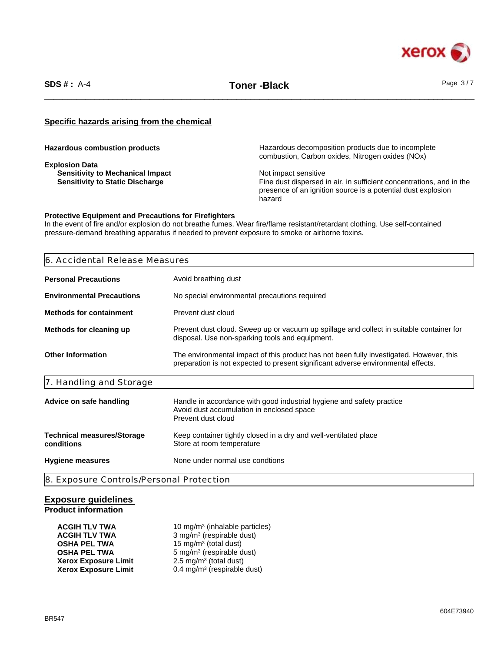

\_\_\_\_\_\_\_\_\_\_\_\_\_\_\_\_\_\_\_\_\_\_\_\_\_\_\_\_\_\_\_\_\_\_\_\_\_\_\_\_\_\_\_\_\_\_\_\_\_\_\_\_\_\_\_\_\_\_\_\_\_\_\_\_\_\_\_\_\_\_\_\_\_\_\_\_\_\_\_\_\_\_\_\_\_\_\_\_\_\_\_\_\_\_ **SDS # :** A-4 **Toner -Black** Page 3 / 7

# **Specific hazards arising from the chemical**

**Explosion Data Sensitivity to Mechanical Impact <br>
Sensitivity to Static Discharge Sensitive Sensitive Sensitivity to Static Discharge Sensitive Sensitive Sensitive** 

**Hazardous combustion products** Hazardous decomposition products due to incomplete combustion, Carbon oxides, Nitrogen oxides (NOx)

> Fine dust dispersed in air, in sufficient concentrations, and in the presence of an ignition source is a potential dust explosion hazard

#### **Protective Equipment and Precautions for Firefighters**

In the event of fire and/or explosion do not breathe fumes. Wear fire/flame resistant/retardant clothing. Use self-contained pressure-demand breathing apparatus if needed to prevent exposure to smoke or airborne toxins.

| Avoid breathing dust<br>No special environmental precautions required<br>Prevent dust cloud                                                                                  |
|------------------------------------------------------------------------------------------------------------------------------------------------------------------------------|
|                                                                                                                                                                              |
|                                                                                                                                                                              |
|                                                                                                                                                                              |
| Prevent dust cloud. Sweep up or vacuum up spillage and collect in suitable container for<br>disposal. Use non-sparking tools and equipment.                                  |
| The environmental impact of this product has not been fully investigated. However, this<br>preparation is not expected to present significant adverse environmental effects. |
|                                                                                                                                                                              |
| Handle in accordance with good industrial hygiene and safety practice<br>Avoid dust accumulation in enclosed space<br>Prevent dust cloud                                     |
| Keep container tightly closed in a dry and well-ventilated place<br>Store at room temperature                                                                                |
| None under normal use condtions                                                                                                                                              |
| 8. Exposure Controls/Personal Protection                                                                                                                                     |

# **Exposure guidelines Product information**

| <b>ACGIH TLV TWA</b>        | 10 mg/m <sup>3</sup> (inhalable particles) |
|-----------------------------|--------------------------------------------|
| <b>ACGIH TLV TWA</b>        | $3$ mg/m <sup>3</sup> (respirable dust)    |
| <b>OSHA PEL TWA</b>         | 15 mg/m <sup>3</sup> (total dust)          |
| <b>OSHA PEL TWA</b>         | $5 \text{ mg/m}^3$ (respirable dust)       |
| <b>Xerox Exposure Limit</b> | $2.5 \text{ mg/m}^3$ (total dust)          |
| <b>Xerox Exposure Limit</b> | 0.4 mg/m <sup>3</sup> (respirable dust)    |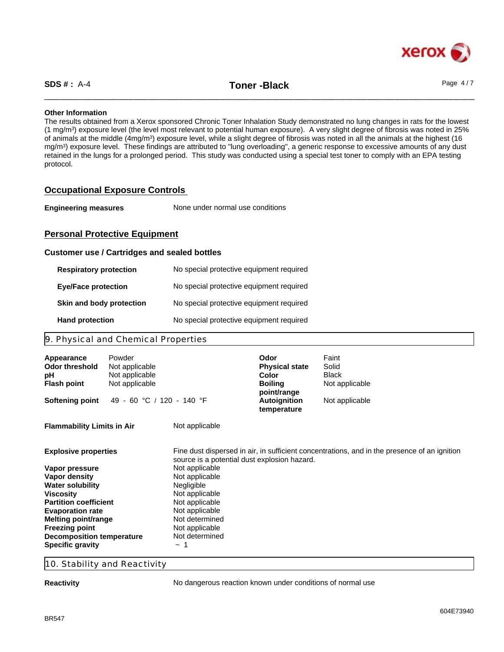\_\_\_\_\_\_\_\_\_\_\_\_\_\_\_\_\_\_\_\_\_\_\_\_\_\_\_\_\_\_\_\_\_\_\_\_\_\_\_\_\_\_\_\_\_\_\_\_\_\_\_\_\_\_\_\_\_\_\_\_\_\_\_\_\_\_\_\_\_\_\_\_\_\_\_\_\_\_\_\_\_\_\_\_\_\_\_\_\_\_\_\_\_\_ **SDS # :** A-4 **Toner -Black** Page 4 / 7

#### **Other Information**

The results obtained from a Xerox sponsored Chronic Toner Inhalation Study demonstrated no lung changes in rats for the lowest (1 mg/m<sup>3</sup> ) exposure level (the level most relevant to potential human exposure). A very slight degree of fibrosis was noted in 25% of animals at the middle (4mg/m<sup>3</sup>) exposure level, while a slight degree of fibrosis was noted in all the animals at the highest (16 mg/m<sup>3</sup> ) exposure level. These findings are attributed to "lung overloading", a generic response to excessive amounts of any dust retained in the lungs for a prolonged period. This study was conducted using a special test toner to comply with an EPA testing protocol.

# **Occupational Exposure Controls**

| <b>Engineering measures</b> | None under normal use conditions |  |
|-----------------------------|----------------------------------|--|
|-----------------------------|----------------------------------|--|

# **Personal Protective Equipment**

#### **Customer use / Cartridges and sealed bottles**

| <b>Respiratory protection</b> | No special protective equipment required |
|-------------------------------|------------------------------------------|
| <b>Eye/Face protection</b>    | No special protective equipment required |
| Skin and body protection      | No special protective equipment required |
| <b>Hand protection</b>        | No special protective equipment required |

# 9. Physical and Chemical Properties

| Appearance<br><b>Odor threshold</b><br>рH<br><b>Flash point</b> | Powder<br>Not applicable<br>Not applicable<br>Not applicable |                                              | Odor<br><b>Physical state</b><br>Color<br><b>Boiling</b><br>point/range | Faint<br>Solid<br><b>Black</b><br>Not applicable                                             |
|-----------------------------------------------------------------|--------------------------------------------------------------|----------------------------------------------|-------------------------------------------------------------------------|----------------------------------------------------------------------------------------------|
| <b>Softening point</b>                                          | 49 - 60 °C / 120 - 140 °F                                    |                                              | <b>Autoignition</b><br>temperature                                      | Not applicable                                                                               |
| <b>Flammability Limits in Air</b>                               |                                                              | Not applicable                               |                                                                         |                                                                                              |
| <b>Explosive properties</b>                                     |                                                              | source is a potential dust explosion hazard. |                                                                         | Fine dust dispersed in air, in sufficient concentrations, and in the presence of an ignition |
| Vapor pressure                                                  |                                                              | Not applicable                               |                                                                         |                                                                                              |
| Vapor density                                                   |                                                              | Not applicable                               |                                                                         |                                                                                              |
| <b>Water solubility</b>                                         |                                                              | Negligible                                   |                                                                         |                                                                                              |
| <b>Viscosity</b>                                                |                                                              | Not applicable                               |                                                                         |                                                                                              |
| <b>Partition coefficient</b>                                    |                                                              | Not applicable                               |                                                                         |                                                                                              |
| <b>Evaporation rate</b>                                         |                                                              | Not applicable                               |                                                                         |                                                                                              |
| <b>Melting point/range</b>                                      |                                                              | Not determined                               |                                                                         |                                                                                              |
| <b>Freezing point</b>                                           |                                                              | Not applicable                               |                                                                         |                                                                                              |
| <b>Decomposition temperature</b>                                |                                                              | Not determined                               |                                                                         |                                                                                              |
| <b>Specific gravity</b>                                         |                                                              |                                              |                                                                         |                                                                                              |

# 10. Stability and Reactivity

**Reactivity Reactivity No dangerous reaction known under conditions of normal use**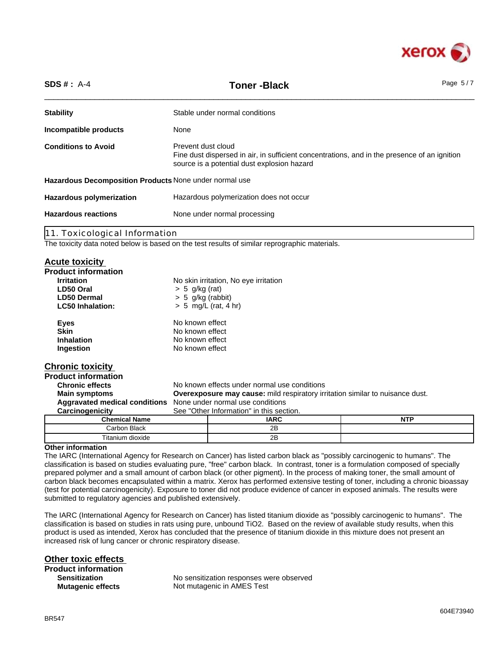

| $SDS #: A-4$                                           | <b>Toner-Black</b>                                                                                                                                                | Page $5/7$ |
|--------------------------------------------------------|-------------------------------------------------------------------------------------------------------------------------------------------------------------------|------------|
| <b>Stability</b>                                       | Stable under normal conditions                                                                                                                                    |            |
| Incompatible products                                  | None                                                                                                                                                              |            |
| <b>Conditions to Avoid</b>                             | Prevent dust cloud<br>Fine dust dispersed in air, in sufficient concentrations, and in the presence of an ignition<br>source is a potential dust explosion hazard |            |
| Hazardous Decomposition Products None under normal use |                                                                                                                                                                   |            |
| <b>Hazardous polymerization</b>                        | Hazardous polymerization does not occur                                                                                                                           |            |
| <b>Hazardous reactions</b>                             | None under normal processing                                                                                                                                      |            |
| 11. Toxicological Information                          |                                                                                                                                                                   |            |

The toxicity data noted below is based on the test results of similar reprographic materials.

Titanium dioxide 2B

#### **Acute toxicity**

| <b>Product information</b>                                     |                     |                                                                                      |            |
|----------------------------------------------------------------|---------------------|--------------------------------------------------------------------------------------|------------|
| <b>Irritation</b>                                              |                     | No skin irritation, No eye irritation                                                |            |
| LD50 Oral                                                      | $> 5$ g/kg (rat)    |                                                                                      |            |
| <b>LD50 Dermal</b>                                             | $> 5$ g/kg (rabbit) |                                                                                      |            |
| <b>LC50 Inhalation:</b>                                        |                     | $> 5$ mg/L (rat, 4 hr)                                                               |            |
| <b>Eyes</b>                                                    | No known effect     |                                                                                      |            |
| <b>Skin</b>                                                    | No known effect     |                                                                                      |            |
| <b>Inhalation</b>                                              | No known effect     |                                                                                      |            |
| Ingestion                                                      | No known effect     |                                                                                      |            |
| <b>Chronic toxicity</b>                                        |                     |                                                                                      |            |
| <b>Product information</b>                                     |                     |                                                                                      |            |
| <b>Chronic effects</b>                                         |                     | No known effects under normal use conditions                                         |            |
| <b>Main symptoms</b>                                           |                     | <b>Overexposure may cause:</b> mild respiratory irritation similar to nuisance dust. |            |
| Aggravated medical conditions None under normal use conditions |                     |                                                                                      |            |
| Carcinogenicity                                                |                     | See "Other Information" in this section.                                             |            |
| <b>Chemical Name</b>                                           |                     | <b>IARC</b>                                                                          | <b>NTP</b> |
| Carbon Black                                                   |                     | 2B                                                                                   |            |

#### **Other information**

The IARC (International Agency for Research on Cancer) has listed carbon black as "possibly carcinogenic to humans". The classification is based on studies evaluating pure, "free" carbon black. In contrast, toner is a formulation composed of specially prepared polymer and a small amount of carbon black (or other pigment). In the process of making toner, the small amount of carbon black becomes encapsulated within a matrix. Xerox has performed extensive testing of toner, including a chronic bioassay (test for potential carcinogenicity). Exposure to toner did not produce evidence of cancer in exposed animals. The results were submitted to regulatory agencies and published extensively.

The IARC (International Agency for Research on Cancer) has listed titanium dioxide as "possibly carcinogenic to humans". The classification is based on studies in rats using pure, unbound TiO2. Based on the review of available study results, when this product is used as intended, Xerox has concluded that the presence of titanium dioxide in this mixture does not present an increased risk of lung cancer or chronic respiratory disease.

**Other toxic effects Product information Sensitization**

No sensitization responses were observed **Mutagenic effects** Not mutagenic in AMES Test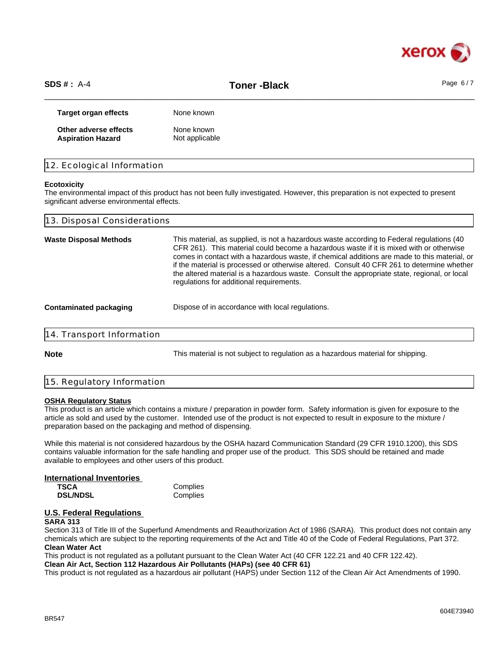

\_\_\_\_\_\_\_\_\_\_\_\_\_\_\_\_\_\_\_\_\_\_\_\_\_\_\_\_\_\_\_\_\_\_\_\_\_\_\_\_\_\_\_\_\_\_\_\_\_\_\_\_\_\_\_\_\_\_\_\_\_\_\_\_\_\_\_\_\_\_\_\_\_\_\_\_\_\_\_\_\_\_\_\_\_\_\_\_\_\_\_\_\_\_ **SDS # :** A-4 **Toner -Black** Page 6 / 7

**Target organ effects** None known **Other adverse effects** None known **Aspiration Hazard** Not applicable

|  | 12. Ecological Information |  |  |
|--|----------------------------|--|--|
|--|----------------------------|--|--|

#### **Ecotoxicity**

The environmental impact of this product has not been fully investigated. However, this preparation is not expected to present significant adverse environmental effects.

| 13. Disposal Considerations   |                                                                                                                                                                                                                                                                                                                                                                                                                                                                                                                                |
|-------------------------------|--------------------------------------------------------------------------------------------------------------------------------------------------------------------------------------------------------------------------------------------------------------------------------------------------------------------------------------------------------------------------------------------------------------------------------------------------------------------------------------------------------------------------------|
| <b>Waste Disposal Methods</b> | This material, as supplied, is not a hazardous waste according to Federal regulations (40<br>CFR 261). This material could become a hazardous waste if it is mixed with or otherwise<br>comes in contact with a hazardous waste, if chemical additions are made to this material, or<br>if the material is processed or otherwise altered. Consult 40 CFR 261 to determine whether<br>the altered material is a hazardous waste. Consult the appropriate state, regional, or local<br>regulations for additional requirements. |
| <b>Contaminated packaging</b> | Dispose of in accordance with local regulations.                                                                                                                                                                                                                                                                                                                                                                                                                                                                               |
| 14. Transport Information     |                                                                                                                                                                                                                                                                                                                                                                                                                                                                                                                                |
| <b>Note</b>                   | This material is not subject to regulation as a hazardous material for shipping.                                                                                                                                                                                                                                                                                                                                                                                                                                               |
|                               |                                                                                                                                                                                                                                                                                                                                                                                                                                                                                                                                |

# 15. Regulatory Information

#### **OSHA Regulatory Status**

This product is an article which contains a mixture / preparation in powder form. Safety information is given for exposure to the article as sold and used by the customer. Intended use of the product is not expected to result in exposure to the mixture / preparation based on the packaging and method of dispensing.

While this material is not considered hazardous by the OSHA hazard Communication Standard (29 CFR 1910.1200), this SDS contains valuable information for the safe handling and proper use of the product. This SDS should be retained and made available to employees and other users of this product.

# **International Inventories**

**TSCA** Complies<br> **DSL/NDSL** Complies **DSL/NDSL** 

#### **U.S. Federal Regulations SARA 313**

Section 313 of Title III of the Superfund Amendments and Reauthorization Act of 1986 (SARA). This product does not contain any chemicals which are subject to the reporting requirements of the Act and Title 40 of the Code of Federal Regulations, Part 372. **Clean Water Act**

This product is not regulated as a pollutant pursuant to the Clean Water Act (40 CFR 122.21 and 40 CFR 122.42).

**Clean Air Act, Section 112 Hazardous Air Pollutants (HAPs) (see 40 CFR 61)**

This product is not regulated as a hazardous air pollutant (HAPS) under Section 112 of the Clean Air Act Amendments of 1990.